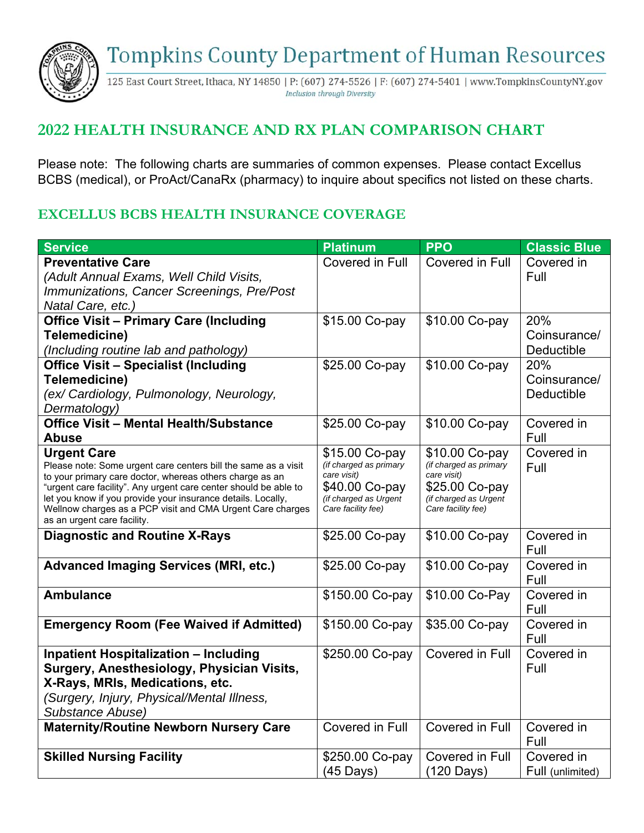**Tompkins County Department of Human Resources** 



125 East Court Street, Ithaca, NY 14850 | P: (607) 274-5526 | F: (607) 274-5401 | www.TompkinsCountyNY.gov **Inclusion through Diversity** 

## **2022 HEALTH INSURANCE AND RX PLAN COMPARISON CHART**

Please note: The following charts are summaries of common expenses. Please contact Excellus BCBS (medical), or ProAct/CanaRx (pharmacy) to inquire about specifics not listed on these charts.

## **EXCELLUS BCBS HEALTH INSURANCE COVERAGE**

| <b>Service</b>                                                                                                             | <b>Platinum</b>                       | <b>PPO</b>                            | <b>Classic Blue</b> |
|----------------------------------------------------------------------------------------------------------------------------|---------------------------------------|---------------------------------------|---------------------|
| <b>Preventative Care</b>                                                                                                   | Covered in Full                       | Covered in Full                       | Covered in          |
| (Adult Annual Exams, Well Child Visits,                                                                                    |                                       |                                       | Full                |
| Immunizations, Cancer Screenings, Pre/Post                                                                                 |                                       |                                       |                     |
| Natal Care, etc.)                                                                                                          |                                       |                                       |                     |
| <b>Office Visit - Primary Care (Including</b>                                                                              | \$15.00 Co-pay                        | \$10.00 Co-pay                        | 20%                 |
| Telemedicine)                                                                                                              |                                       |                                       | Coinsurance/        |
| (Including routine lab and pathology)                                                                                      |                                       |                                       | Deductible          |
| <b>Office Visit - Specialist (Including</b>                                                                                | \$25.00 Co-pay                        | \$10.00 Co-pay                        | 20%                 |
| Telemedicine)                                                                                                              |                                       |                                       | Coinsurance/        |
| (ex/ Cardiology, Pulmonology, Neurology,                                                                                   |                                       |                                       | <b>Deductible</b>   |
| Dermatology)                                                                                                               |                                       |                                       |                     |
| <b>Office Visit - Mental Health/Substance</b>                                                                              | \$25.00 Co-pay                        | \$10.00 Co-pay                        | Covered in          |
| <b>Abuse</b>                                                                                                               |                                       |                                       | Full                |
| <b>Urgent Care</b>                                                                                                         | \$15.00 Co-pay                        | \$10.00 Co-pay                        | Covered in          |
| Please note: Some urgent care centers bill the same as a visit<br>to your primary care doctor, whereas others charge as an | (if charged as primary<br>care visit) | (if charged as primary<br>care visit) | Full                |
| "urgent care facility". Any urgent care center should be able to                                                           | \$40.00 Co-pay                        | \$25.00 Co-pay                        |                     |
| let you know if you provide your insurance details. Locally,                                                               | (if charged as Urgent                 | (if charged as Urgent                 |                     |
| Wellnow charges as a PCP visit and CMA Urgent Care charges<br>as an urgent care facility.                                  | Care facility fee)                    | Care facility fee)                    |                     |
| <b>Diagnostic and Routine X-Rays</b>                                                                                       | \$25.00 Co-pay                        | \$10.00 Co-pay                        | Covered in          |
|                                                                                                                            |                                       |                                       | Full                |
| <b>Advanced Imaging Services (MRI, etc.)</b>                                                                               | \$25.00 Co-pay                        | \$10.00 Co-pay                        | Covered in<br>Full  |
| <b>Ambulance</b>                                                                                                           | \$150.00 Co-pay                       | \$10.00 Co-Pay                        | Covered in          |
|                                                                                                                            |                                       |                                       | Full                |
| <b>Emergency Room (Fee Waived if Admitted)</b>                                                                             | \$150.00 Co-pay                       | \$35.00 Co-pay                        | Covered in          |
|                                                                                                                            |                                       |                                       | Full                |
| <b>Inpatient Hospitalization - Including</b>                                                                               | \$250.00 Co-pay                       | Covered in Full                       | Covered in          |
| Surgery, Anesthesiology, Physician Visits,                                                                                 |                                       |                                       | Full                |
| X-Rays, MRIs, Medications, etc.                                                                                            |                                       |                                       |                     |
| (Surgery, Injury, Physical/Mental Illness,                                                                                 |                                       |                                       |                     |
| Substance Abuse)                                                                                                           |                                       |                                       |                     |
| <b>Maternity/Routine Newborn Nursery Care</b>                                                                              | Covered in Full                       | Covered in Full                       | Covered in          |
|                                                                                                                            |                                       |                                       | Full                |
| <b>Skilled Nursing Facility</b>                                                                                            | \$250.00 Co-pay                       | <b>Covered in Full</b>                | Covered in          |
|                                                                                                                            | (45 Days)                             | (120 Days)                            | Full (unlimited)    |